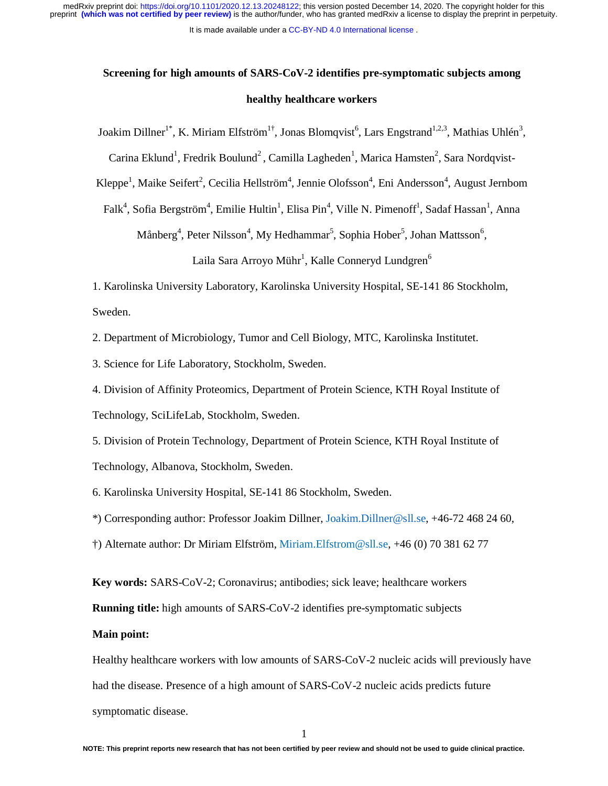It is made available under a [CC-BY-ND 4.0 International license](http://creativecommons.org/licenses/by-nd/4.0/) .

# **Screening for high amounts of SARS-CoV-2 identifies pre-symptomatic subjects among healthy healthcare workers**

Joakim Dillner<sup>1\*</sup>, K. Miriam Elfström<sup>1†</sup>, Jonas Blomqvist<sup>6</sup>, Lars Engstrand<sup>1,2,3</sup>, Mathias Uhlén<sup>3</sup>,

Carina Eklund<sup>1</sup>, Fredrik Boulund<sup>2</sup>, Camilla Lagheden<sup>1</sup>, Marica Hamsten<sup>2</sup>, Sara Nordqvist-

Kleppe<sup>1</sup>, Maike Seifert<sup>2</sup>, Cecilia Hellström<sup>4</sup>, Jennie Olofsson<sup>4</sup>, Eni Andersson<sup>4</sup>, August Jernbom

Falk<sup>4</sup>, Sofia Bergström<sup>4</sup>, Emilie Hultin<sup>1</sup>, Elisa Pin<sup>4</sup>, Ville N. Pimenoff<sup>1</sup>, Sadaf Hassan<sup>1</sup>, Anna

Månberg<sup>4</sup>, Peter Nilsson<sup>4</sup>, My Hedhammar<sup>5</sup>, Sophia Hober<sup>5</sup>, Johan Mattsson<sup>6</sup>,

Laila Sara Arroyo Mühr $^1$ , Kalle Conneryd Lundgren $^6$ 

1. Karolinska University Laboratory, Karolinska University Hospital, SE-141 86 Stockholm, Sweden.

2. Department of Microbiology, Tumor and Cell Biology, MTC, Karolinska Institutet.

3. Science for Life Laboratory, Stockholm, Sweden.

4. Division of Affinity Proteomics, Department of Protein Science, KTH Royal Institute of Technology, SciLifeLab, Stockholm, Sweden.

5. Division of Protein Technology, Department of Protein Science, KTH Royal Institute of Technology, Albanova, Stockholm, Sweden.

6. Karolinska University Hospital, SE-141 86 Stockholm, Sweden.

\*) Corresponding author: Professor Joakim Dillner, Joakim.Dillner@sll.se, +46-72 468 24 60,

†) Alternate author: Dr Miriam Elfström, Miriam.Elfstrom@sll.se, +46 (0) 70 381 62 77

**Key words: SARS-CoV-2; Coronavirus; antibodies; sick leave; healthcare workers** 

**Running title:** high amounts of SARS-CoV-2 identifies pre-symptomatic subjects

## **Main point:**

Healthy healthcare workers with low amounts of SARS-CoV-2 nucleic acids will previously have had the disease. Presence of a high amount of SARS-CoV-2 nucleic acids predicts future symptomatic disease.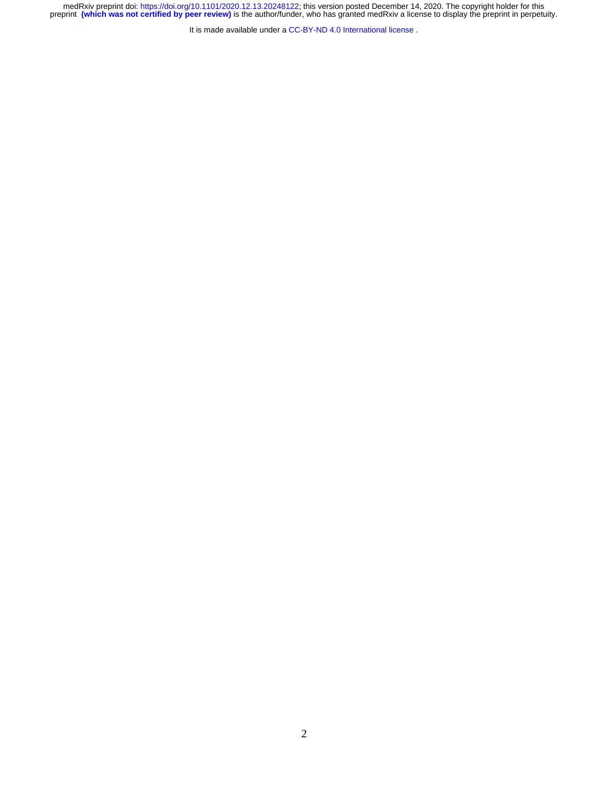It is made available under a [CC-BY-ND 4.0 International license](http://creativecommons.org/licenses/by-nd/4.0/) .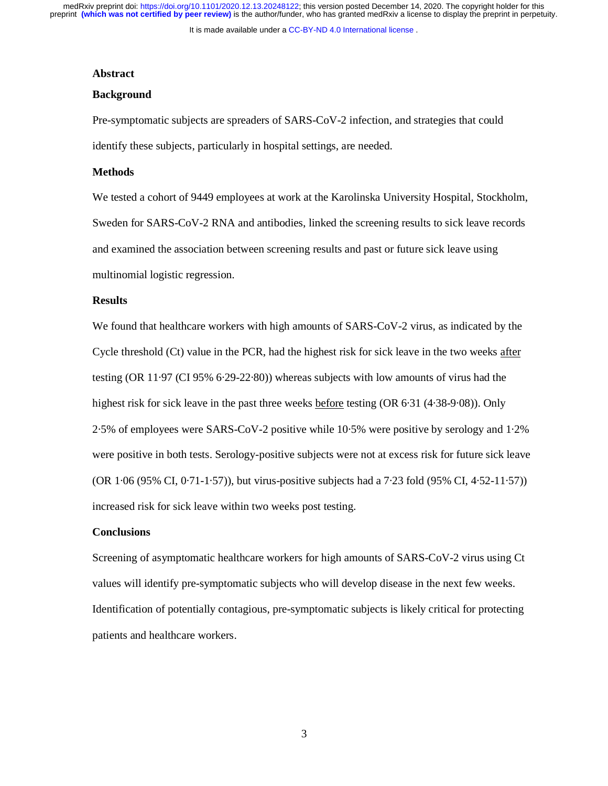It is made available under a [CC-BY-ND 4.0 International license](http://creativecommons.org/licenses/by-nd/4.0/) .

#### **Abstract**

#### **Background**

Pre-symptomatic subjects are spreaders of SARS-CoV-2 infection, and strategies that could identify these subjects, particularly in hospital settings, are needed.

## **Methods**

We tested a cohort of 9449 employees at work at the Karolinska University Hospital, Stockholm, Sweden for SARS-CoV-2 RNA and antibodies, linked the screening results to sick leave records and examined the association between screening results and past or future sick leave using multinomial logistic regression.

## **Results**

We found that healthcare workers with high amounts of SARS-CoV-2 virus, as indicated by the Cycle threshold (Ct) value in the PCR, had the highest risk for sick leave in the two weeks after testing (OR 11·97 (CI 95% 6·29-22·80)) whereas subjects with low amounts of virus had the highest risk for sick leave in the past three weeks **before** testing (OR 6.31 (4.38-9.08)). Only 2·5% of employees were SARS-CoV-2 positive while 10·5% were positive by serology and 1·2% were positive in both tests. Serology-positive subjects were not at excess risk for future sick leave (OR 1·06 (95% CI, 0·71-1·57)), but virus-positive subjects had a 7·23 fold (95% CI, 4·52-11·57)) increased risk for sick leave within two weeks post testing.

## **Conclusions**

Screening of asymptomatic healthcare workers for high amounts of SARS-CoV-2 virus using Ct values will identify pre-symptomatic subjects who will develop disease in the next few weeks. Identification of potentially contagious, pre-symptomatic subjects is likely critical for protecting patients and healthcare workers.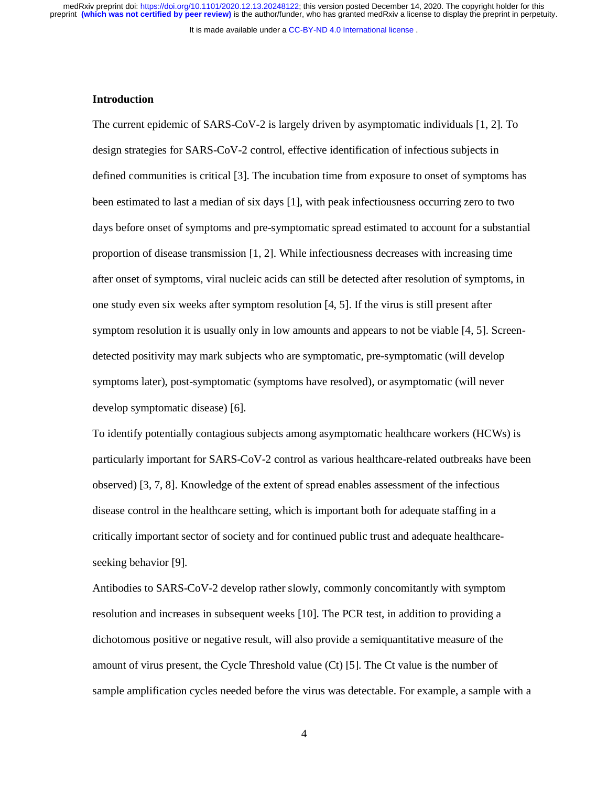It is made available under a [CC-BY-ND 4.0 International license](http://creativecommons.org/licenses/by-nd/4.0/) .

## **Introduction**

The current epidemic of SARS-CoV-2 is largely driven by asymptomatic individuals [1, 2]. To design strategies for SARS-CoV-2 control, effective identification of infectious subjects in defined communities is critical [3]. The incubation time from exposure to onset of symptoms has been estimated to last a median of six days [1], with peak infectiousness occurring zero to two days before onset of symptoms and pre-symptomatic spread estimated to account for a substantial proportion of disease transmission [1, 2]. While infectiousness decreases with increasing time after onset of symptoms, viral nucleic acids can still be detected after resolution of symptoms, in one study even six weeks after symptom resolution [4, 5]. If the virus is still present after symptom resolution it is usually only in low amounts and appears to not be viable [4, 5]. Screendetected positivity may mark subjects who are symptomatic, pre-symptomatic (will develop symptoms later), post-symptomatic (symptoms have resolved), or asymptomatic (will never develop symptomatic disease) [6].

To identify potentially contagious subjects among asymptomatic healthcare workers (HCWs) is particularly important for SARS-CoV-2 control as various healthcare-related outbreaks have been observed) [3, 7, 8]. Knowledge of the extent of spread enables assessment of the infectious disease control in the healthcare setting, which is important both for adequate staffing in a critically important sector of society and for continued public trust and adequate healthcareseeking behavior [9].

Antibodies to SARS-CoV-2 develop rather slowly, commonly concomitantly with symptom resolution and increases in subsequent weeks [10]. The PCR test, in addition to providing a dichotomous positive or negative result, will also provide a semiquantitative measure of the amount of virus present, the Cycle Threshold value (Ct) [5]. The Ct value is the number of sample amplification cycles needed before the virus was detectable. For example, a sample with a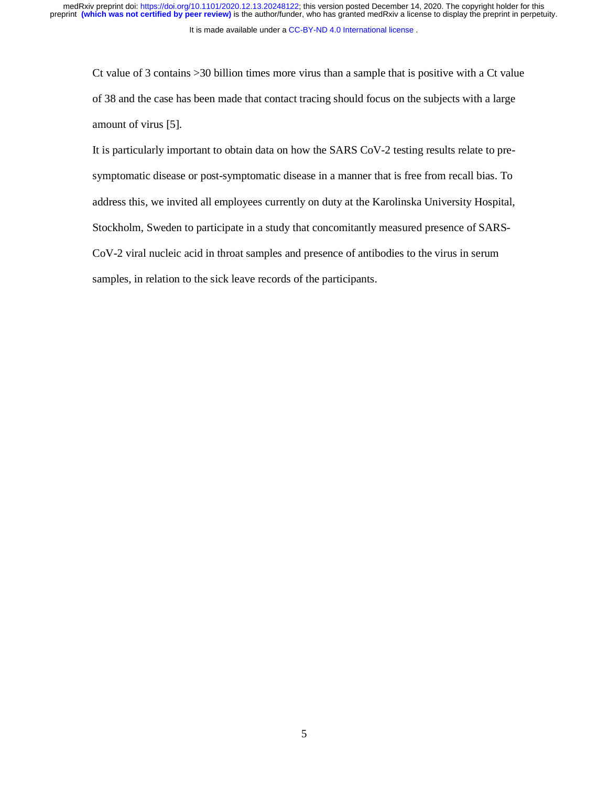Ct value of 3 contains >30 billion times more virus than a sample that is positive with a Ct value of 38 and the case has been made that contact tracing should focus on the subjects with a large amount of virus [5].

It is particularly important to obtain data on how the SARS CoV-2 testing results relate to presymptomatic disease or post-symptomatic disease in a manner that is free from recall bias. To address this, we invited all employees currently on duty at the Karolinska University Hospital, Stockholm, Sweden to participate in a study that concomitantly measured presence of SARS-CoV-2 viral nucleic acid in throat samples and presence of antibodies to the virus in serum samples, in relation to the sick leave records of the participants.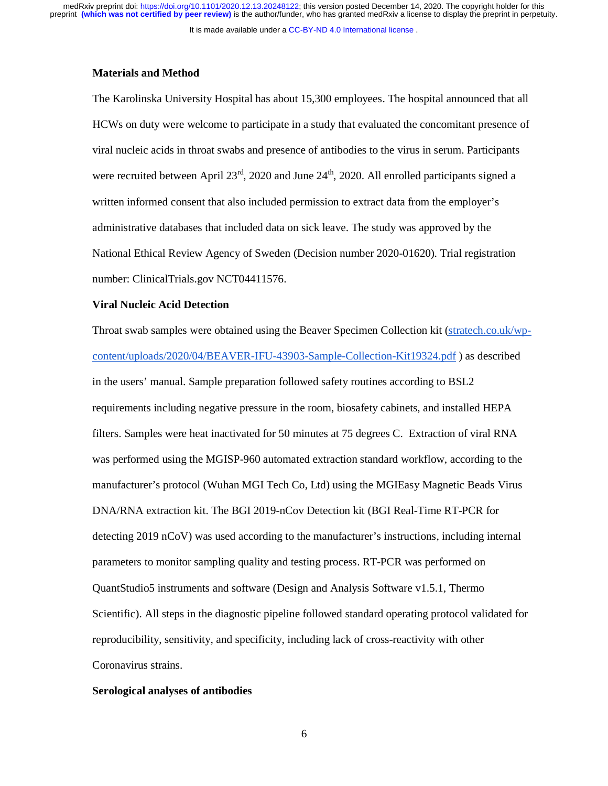#### It is made available under a [CC-BY-ND 4.0 International license](http://creativecommons.org/licenses/by-nd/4.0/) .

#### **Materials and Method**

The Karolinska University Hospital has about 15,300 employees. The hospital announced that all HCWs on duty were welcome to participate in a study that evaluated the concomitant presence of viral nucleic acids in throat swabs and presence of antibodies to the virus in serum. Participants were recruited between April  $23<sup>rd</sup>$ , 2020 and June  $24<sup>th</sup>$ , 2020. All enrolled participants signed a written informed consent that also included permission to extract data from the employer's administrative databases that included data on sick leave. The study was approved by the National Ethical Review Agency of Sweden (Decision number 2020-01620). Trial registration number: ClinicalTrials.gov NCT04411576.

## **Viral Nucleic Acid Detection**

Throat swab samples were obtained using the Beaver Specimen Collection kit (stratech.co.uk/wpcontent/uploads/2020/04/BEAVER-IFU-43903-Sample-Collection-Kit19324.pdf ) as described in the users' manual. Sample preparation followed safety routines according to BSL2 requirements including negative pressure in the room, biosafety cabinets, and installed HEPA filters. Samples were heat inactivated for 50 minutes at 75 degrees C. Extraction of viral RNA was performed using the MGISP-960 automated extraction standard workflow, according to the manufacturer's protocol (Wuhan MGI Tech Co, Ltd) using the MGIEasy Magnetic Beads Virus DNA/RNA extraction kit. The BGI 2019-nCov Detection kit (BGI Real-Time RT-PCR for detecting 2019 nCoV) was used according to the manufacturer's instructions, including internal parameters to monitor sampling quality and testing process. RT-PCR was performed on QuantStudio5 instruments and software (Design and Analysis Software v1.5.1, Thermo Scientific). All steps in the diagnostic pipeline followed standard operating protocol validated for reproducibility, sensitivity, and specificity, including lack of cross-reactivity with other Coronavirus strains.

#### **Serological analyses of antibodies**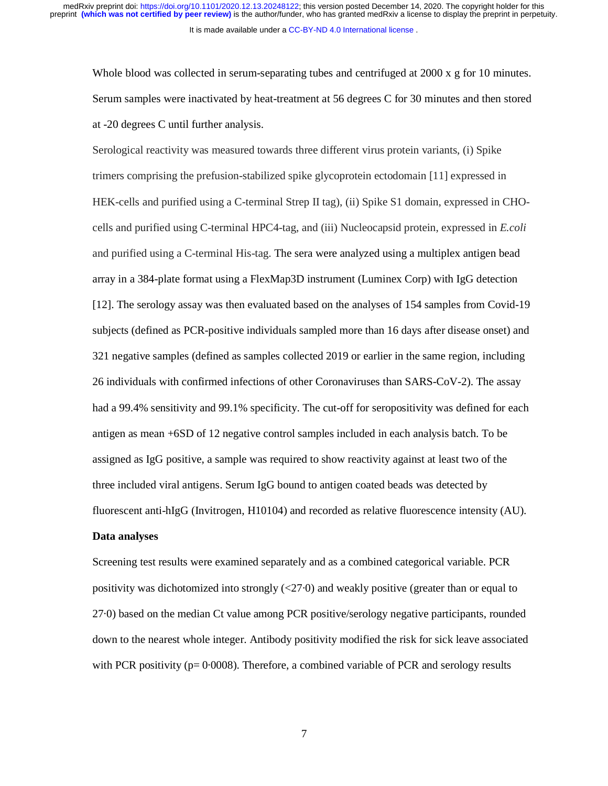It is made available under a [CC-BY-ND 4.0 International license](http://creativecommons.org/licenses/by-nd/4.0/) .

Whole blood was collected in serum-separating tubes and centrifuged at 2000 x g for 10 minutes. Serum samples were inactivated by heat-treatment at 56 degrees C for 30 minutes and then stored at -20 degrees C until further analysis.

Serological reactivity was measured towards three different virus protein variants, (i) Spike trimers comprising the prefusion-stabilized spike glycoprotein ectodomain [11] expressed in HEK-cells and purified using a C-terminal Strep II tag), (ii) Spike S1 domain, expressed in CHOcells and purified using C-terminal HPC4-tag, and (iii) Nucleocapsid protein, expressed in *E.coli* and purified using a C-terminal His-tag. The sera were analyzed using a multiplex antigen bead array in a 384-plate format using a FlexMap3D instrument (Luminex Corp) with IgG detection [12]. The serology assay was then evaluated based on the analyses of 154 samples from Covid-19 subjects (defined as PCR-positive individuals sampled more than 16 days after disease onset) and 321 negative samples (defined as samples collected 2019 or earlier in the same region, including 26 individuals with confirmed infections of other Coronaviruses than SARS-CoV-2). The assay had a 99.4% sensitivity and 99.1% specificity. The cut-off for seropositivity was defined for each antigen as mean +6SD of 12 negative control samples included in each analysis batch. To be assigned as IgG positive, a sample was required to show reactivity against at least two of the three included viral antigens. Serum IgG bound to antigen coated beads was detected by fluorescent anti-hIgG (Invitrogen, H10104) and recorded as relative fluorescence intensity (AU).

#### **Data analyses**

Screening test results were examined separately and as a combined categorical variable. PCR positivity was dichotomized into strongly (<27·0) and weakly positive (greater than or equal to 27·0) based on the median Ct value among PCR positive/serology negative participants, rounded down to the nearest whole integer. Antibody positivity modified the risk for sick leave associated with PCR positivity ( $p= 0.0008$ ). Therefore, a combined variable of PCR and serology results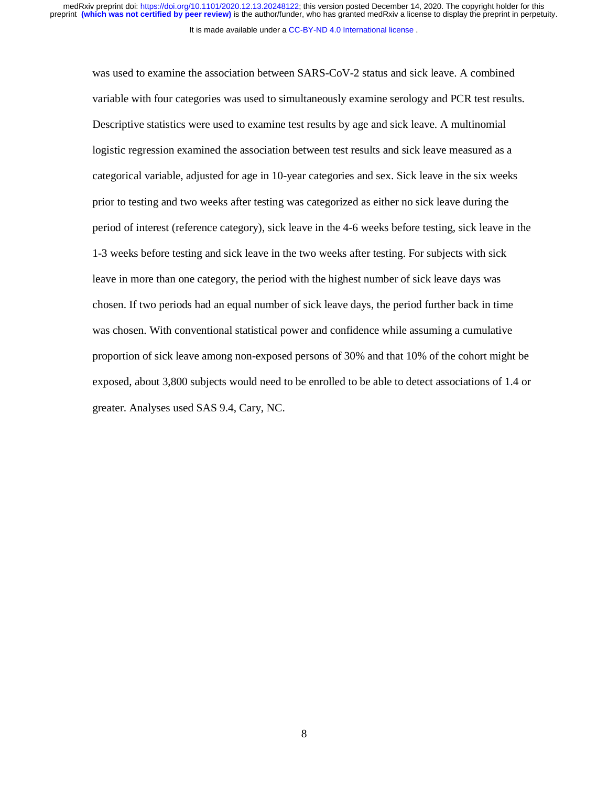It is made available under a [CC-BY-ND 4.0 International license](http://creativecommons.org/licenses/by-nd/4.0/) . medRxiv preprint doi: [https://doi.org/10.1101/2020.12.13.20248122;](https://doi.org/10.1101/2020.12.13.20248122) this version posted December 14, 2020. The copyright holder for this<br>preprint (which was not certified by peer review) is the author/funder, who has grante

was used to examine the association between SARS-CoV-2 status and sick leave. A combined variable with four categories was used to simultaneously examine serology and PCR test results. Descriptive statistics were used to examine test results by age and sick leave. A multinomial logistic regression examined the association between test results and sick leave measured as a categorical variable, adjusted for age in 10-year categories and sex. Sick leave in the six weeks prior to testing and two weeks after testing was categorized as either no sick leave during the period of interest (reference category), sick leave in the 4-6 weeks before testing, sick leave in the 1-3 weeks before testing and sick leave in the two weeks after testing. For subjects with sick leave in more than one category, the period with the highest number of sick leave days was chosen. If two periods had an equal number of sick leave days, the period further back in time was chosen. With conventional statistical power and confidence while assuming a cumulative proportion of sick leave among non-exposed persons of 30% and that 10% of the cohort might be exposed, about 3,800 subjects would need to be enrolled to be able to detect associations of 1.4 or greater. Analyses used SAS 9.4, Cary, NC.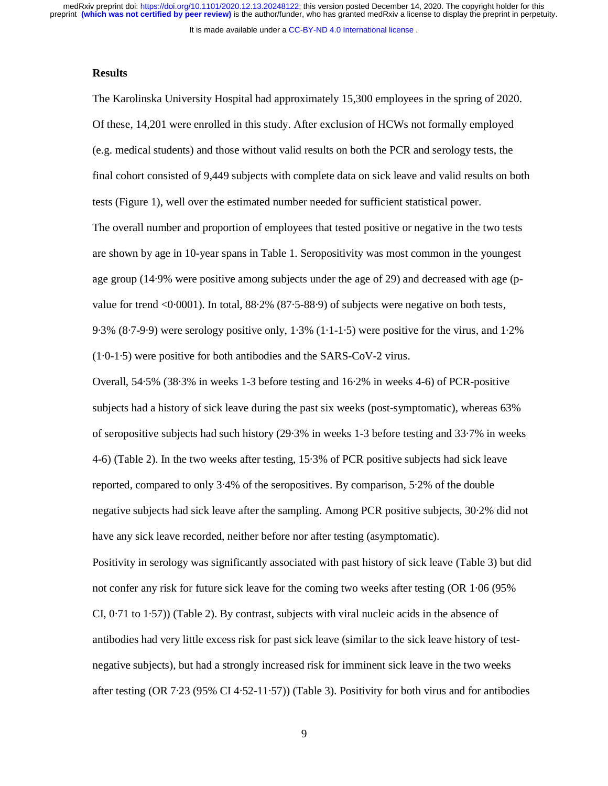It is made available under a [CC-BY-ND 4.0 International license](http://creativecommons.org/licenses/by-nd/4.0/) .

#### **Results**

The Karolinska University Hospital had approximately 15,300 employees in the spring of 2020. Of these, 14,201 were enrolled in this study. After exclusion of HCWs not formally employed (e.g. medical students) and those without valid results on both the PCR and serology tests, the final cohort consisted of 9,449 subjects with complete data on sick leave and valid results on both tests (Figure 1), well over the estimated number needed for sufficient statistical power.

The overall number and proportion of employees that tested positive or negative in the two tests are shown by age in 10-year spans in Table 1. Seropositivity was most common in the youngest age group (14·9% were positive among subjects under the age of 29) and decreased with age (pvalue for trend <0·0001). In total, 88·2% (87·5-88·9) of subjects were negative on both tests, 9·3% (8·7-9·9) were serology positive only, 1·3% (1·1-1·5) were positive for the virus, and 1·2%  $(1.0-1.5)$  were positive for both antibodies and the SARS-CoV-2 virus.

Overall, 54·5% (38·3% in weeks 1-3 before testing and 16·2% in weeks 4-6) of PCR-positive subjects had a history of sick leave during the past six weeks (post-symptomatic), whereas 63% of seropositive subjects had such history (29·3% in weeks 1-3 before testing and 33·7% in weeks 4-6) (Table 2). In the two weeks after testing, 15·3% of PCR positive subjects had sick leave reported, compared to only 3·4% of the seropositives. By comparison, 5·2% of the double negative subjects had sick leave after the sampling. Among PCR positive subjects, 30·2% did not have any sick leave recorded, neither before nor after testing (asymptomatic). Positivity in serology was significantly associated with past history of sick leave (Table 3) but did not confer any risk for future sick leave for the coming two weeks after testing (OR 1·06 (95% CI, 0·71 to 1·57)) (Table 2). By contrast, subjects with viral nucleic acids in the absence of antibodies had very little excess risk for past sick leave (similar to the sick leave history of testnegative subjects), but had a strongly increased risk for imminent sick leave in the two weeks after testing (OR 7·23 (95% CI 4·52-11·57)) (Table 3). Positivity for both virus and for antibodies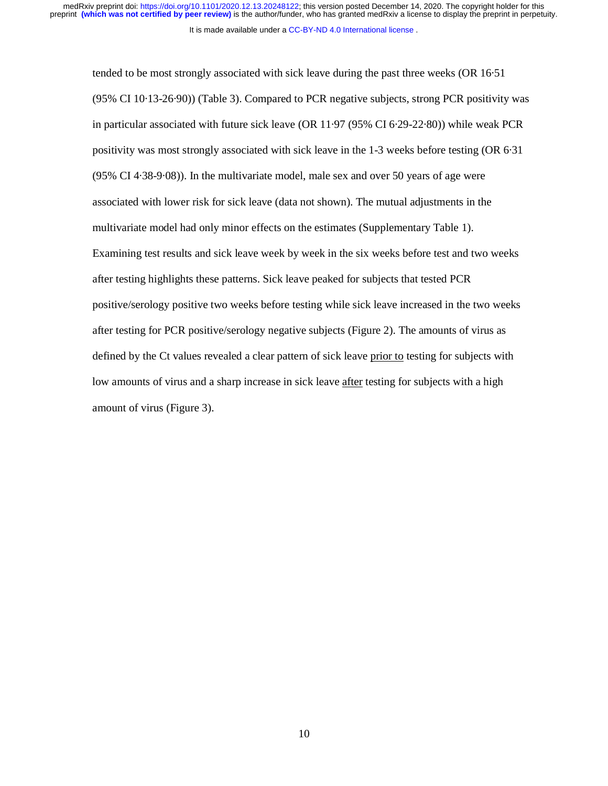#### It is made available under a [CC-BY-ND 4.0 International license](http://creativecommons.org/licenses/by-nd/4.0/) .

tended to be most strongly associated with sick leave during the past three weeks (OR 16·51 (95% CI 10·13-26·90)) (Table 3). Compared to PCR negative subjects, strong PCR positivity was in particular associated with future sick leave (OR 11·97 (95% CI 6·29-22·80)) while weak PCR positivity was most strongly associated with sick leave in the 1-3 weeks before testing (OR 6·31 (95% CI 4·38-9·08)). In the multivariate model, male sex and over 50 years of age were associated with lower risk for sick leave (data not shown). The mutual adjustments in the multivariate model had only minor effects on the estimates (Supplementary Table 1). Examining test results and sick leave week by week in the six weeks before test and two weeks after testing highlights these patterns. Sick leave peaked for subjects that tested PCR positive/serology positive two weeks before testing while sick leave increased in the two weeks after testing for PCR positive/serology negative subjects (Figure 2). The amounts of virus as defined by the Ct values revealed a clear pattern of sick leave prior to testing for subjects with low amounts of virus and a sharp increase in sick leave after testing for subjects with a high amount of virus (Figure 3).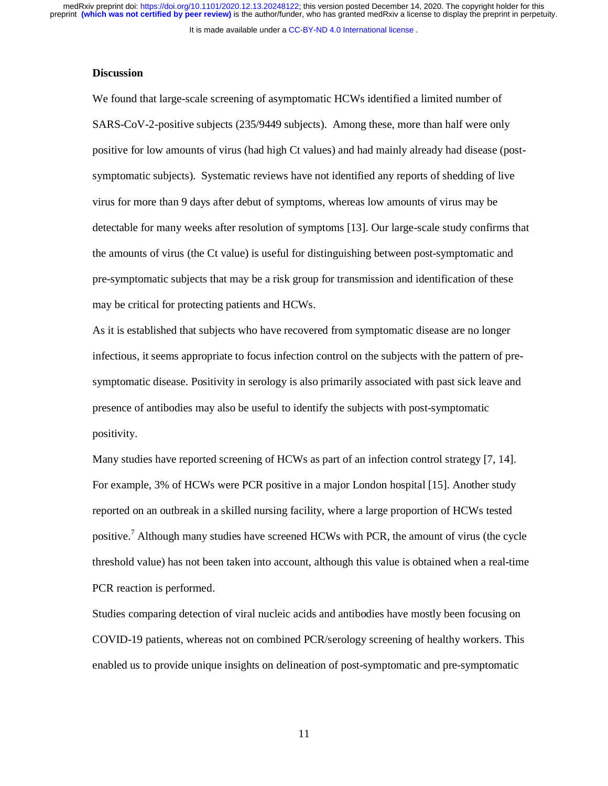It is made available under a [CC-BY-ND 4.0 International license](http://creativecommons.org/licenses/by-nd/4.0/) .

#### **Discussion**

We found that large-scale screening of asymptomatic HCWs identified a limited number of SARS-CoV-2-positive subjects (235/9449 subjects). Among these, more than half were only positive for low amounts of virus (had high Ct values) and had mainly already had disease (postsymptomatic subjects). Systematic reviews have not identified any reports of shedding of live virus for more than 9 days after debut of symptoms, whereas low amounts of virus may be detectable for many weeks after resolution of symptoms [13]. Our large-scale study confirms that the amounts of virus (the Ct value) is useful for distinguishing between post-symptomatic and pre-symptomatic subjects that may be a risk group for transmission and identification of these may be critical for protecting patients and HCWs.

As it is established that subjects who have recovered from symptomatic disease are no longer infectious, it seems appropriate to focus infection control on the subjects with the pattern of presymptomatic disease. Positivity in serology is also primarily associated with past sick leave and presence of antibodies may also be useful to identify the subjects with post-symptomatic positivity.

Many studies have reported screening of HCWs as part of an infection control strategy [7, 14]. For example, 3% of HCWs were PCR positive in a major London hospital [15]. Another study reported on an outbreak in a skilled nursing facility, where a large proportion of HCWs tested positive.<sup>7</sup> Although many studies have screened HCWs with PCR, the amount of virus (the cycle threshold value) has not been taken into account, although this value is obtained when a real-time PCR reaction is performed.

Studies comparing detection of viral nucleic acids and antibodies have mostly been focusing on COVID-19 patients, whereas not on combined PCR/serology screening of healthy workers. This enabled us to provide unique insights on delineation of post-symptomatic and pre-symptomatic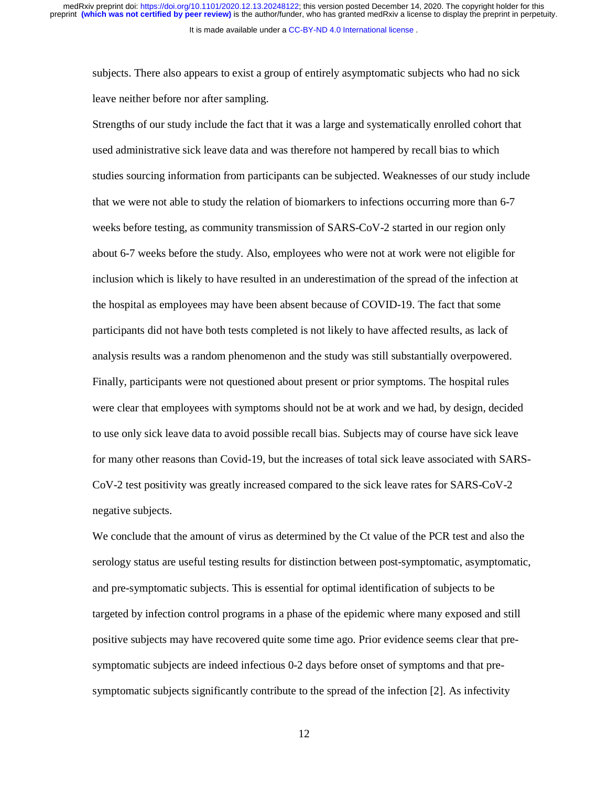subjects. There also appears to exist a group of entirely asymptomatic subjects who had no sick leave neither before nor after sampling.

Strengths of our study include the fact that it was a large and systematically enrolled cohort that used administrative sick leave data and was therefore not hampered by recall bias to which studies sourcing information from participants can be subjected. Weaknesses of our study include that we were not able to study the relation of biomarkers to infections occurring more than 6-7 weeks before testing, as community transmission of SARS-CoV-2 started in our region only about 6-7 weeks before the study. Also, employees who were not at work were not eligible for inclusion which is likely to have resulted in an underestimation of the spread of the infection at the hospital as employees may have been absent because of COVID-19. The fact that some participants did not have both tests completed is not likely to have affected results, as lack of analysis results was a random phenomenon and the study was still substantially overpowered. Finally, participants were not questioned about present or prior symptoms. The hospital rules were clear that employees with symptoms should not be at work and we had, by design, decided to use only sick leave data to avoid possible recall bias. Subjects may of course have sick leave for many other reasons than Covid-19, but the increases of total sick leave associated with SARS-CoV-2 test positivity was greatly increased compared to the sick leave rates for SARS-CoV-2 negative subjects.

We conclude that the amount of virus as determined by the Ct value of the PCR test and also the serology status are useful testing results for distinction between post-symptomatic, asymptomatic, and pre-symptomatic subjects. This is essential for optimal identification of subjects to be targeted by infection control programs in a phase of the epidemic where many exposed and still positive subjects may have recovered quite some time ago. Prior evidence seems clear that presymptomatic subjects are indeed infectious 0-2 days before onset of symptoms and that presymptomatic subjects significantly contribute to the spread of the infection [2]. As infectivity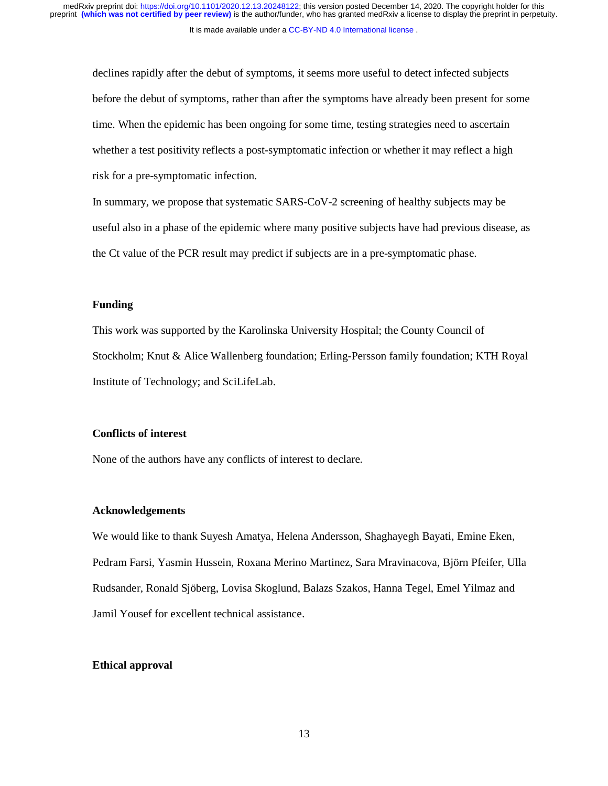declines rapidly after the debut of symptoms, it seems more useful to detect infected subjects before the debut of symptoms, rather than after the symptoms have already been present for some time. When the epidemic has been ongoing for some time, testing strategies need to ascertain whether a test positivity reflects a post-symptomatic infection or whether it may reflect a high risk for a pre-symptomatic infection.

In summary, we propose that systematic SARS-CoV-2 screening of healthy subjects may be useful also in a phase of the epidemic where many positive subjects have had previous disease, as the Ct value of the PCR result may predict if subjects are in a pre-symptomatic phase.

## **Funding**

This work was supported by the Karolinska University Hospital; the County Council of Stockholm; Knut & Alice Wallenberg foundation; Erling-Persson family foundation; KTH Royal Institute of Technology; and SciLifeLab.

## **Conflicts of interest**

None of the authors have any conflicts of interest to declare.

#### **Acknowledgements**

We would like to thank Suyesh Amatya, Helena Andersson, Shaghayegh Bayati, Emine Eken, Pedram Farsi, Yasmin Hussein, Roxana Merino Martinez, Sara Mravinacova, Björn Pfeifer, Ulla Rudsander, Ronald Sjöberg, Lovisa Skoglund, Balazs Szakos, Hanna Tegel, Emel Yilmaz and Jamil Yousef for excellent technical assistance.

## **Ethical approval**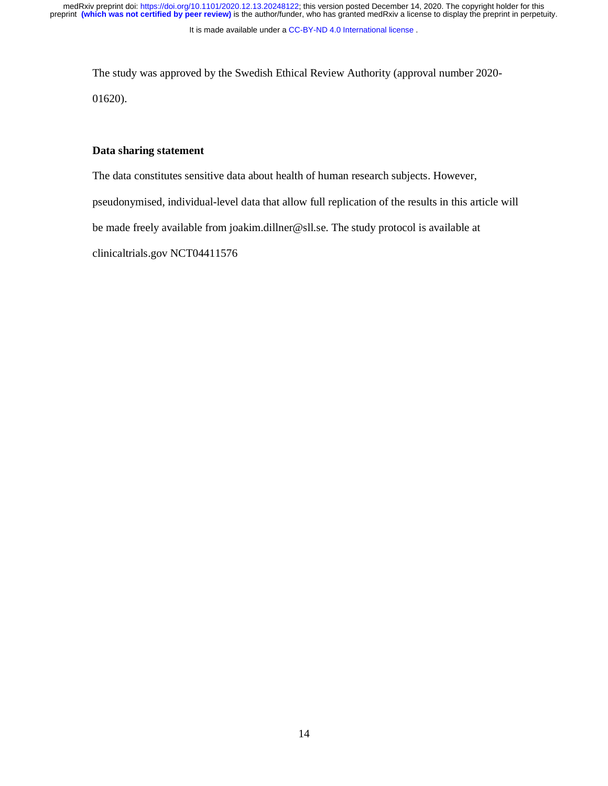It is made available under a [CC-BY-ND 4.0 International license](http://creativecommons.org/licenses/by-nd/4.0/) .

The study was approved by the Swedish Ethical Review Authority (approval number 2020- 01620).

## **Data sharing statement**

The data constitutes sensitive data about health of human research subjects. However,

pseudonymised, individual-level data that allow full replication of the results in this article will

be made freely available from joakim.dillner@sll.se. The study protocol is available at

clinicaltrials.gov NCT04411576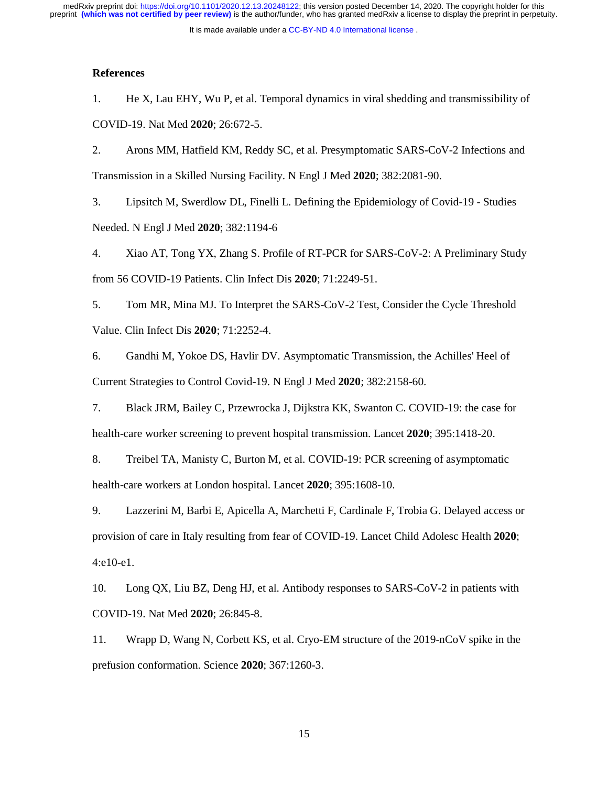It is made available under a [CC-BY-ND 4.0 International license](http://creativecommons.org/licenses/by-nd/4.0/) .

## **References**

1. He X, Lau EHY, Wu P, et al. Temporal dynamics in viral shedding and transmissibility of COVID-19. Nat Med **2020**; 26:672-5.

2. Arons MM, Hatfield KM, Reddy SC, et al. Presymptomatic SARS-CoV-2 Infections and Transmission in a Skilled Nursing Facility. N Engl J Med **2020**; 382:2081-90.

3. Lipsitch M, Swerdlow DL, Finelli L. Defining the Epidemiology of Covid-19 - Studies Needed. N Engl J Med **2020**; 382:1194-6

4. Xiao AT, Tong YX, Zhang S. Profile of RT-PCR for SARS-CoV-2: A Preliminary Study from 56 COVID-19 Patients. Clin Infect Dis **2020**; 71:2249-51.

5. Tom MR, Mina MJ. To Interpret the SARS-CoV-2 Test, Consider the Cycle Threshold Value. Clin Infect Dis **2020**; 71:2252-4.

6. Gandhi M, Yokoe DS, Havlir DV. Asymptomatic Transmission, the Achilles' Heel of Current Strategies to Control Covid-19. N Engl J Med **2020**; 382:2158-60.

7. Black JRM, Bailey C, Przewrocka J, Dijkstra KK, Swanton C. COVID-19: the case for health-care worker screening to prevent hospital transmission. Lancet **2020**; 395:1418-20.

8. Treibel TA, Manisty C, Burton M, et al. COVID-19: PCR screening of asymptomatic health-care workers at London hospital. Lancet **2020**; 395:1608-10.

9. Lazzerini M, Barbi E, Apicella A, Marchetti F, Cardinale F, Trobia G. Delayed access or provision of care in Italy resulting from fear of COVID-19. Lancet Child Adolesc Health **2020**; 4:e10-e1.

10. Long QX, Liu BZ, Deng HJ, et al. Antibody responses to SARS-CoV-2 in patients with COVID-19. Nat Med **2020**; 26:845-8.

11. Wrapp D, Wang N, Corbett KS, et al. Cryo-EM structure of the 2019-nCoV spike in the prefusion conformation. Science **2020**; 367:1260-3.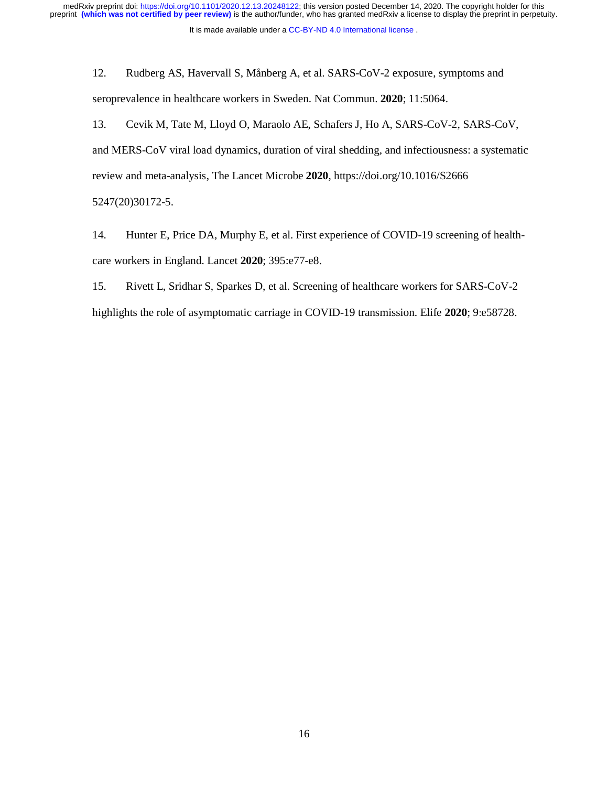It is made available under a [CC-BY-ND 4.0 International license](http://creativecommons.org/licenses/by-nd/4.0/) .

12. Rudberg AS, Havervall S, Månberg A, et al. SARS-CoV-2 exposure, symptoms and seroprevalence in healthcare workers in Sweden. Nat Commun. **2020**; 11:5064.

13. Cevik M, Tate M, Lloyd O, Maraolo AE, Schafers J, Ho A, SARS-CoV-2, SARS-CoV, and MERS-CoV viral load dynamics, duration of viral shedding, and infectiousness: a systematic review and meta-analysis, The Lancet Microbe **2020**, https://doi.org/10.1016/S2666 5247(20)30172-5.

14. Hunter E, Price DA, Murphy E, et al. First experience of COVID-19 screening of healthcare workers in England. Lancet **2020**; 395:e77-e8.

15. Rivett L, Sridhar S, Sparkes D, et al. Screening of healthcare workers for SARS-CoV-2 highlights the role of asymptomatic carriage in COVID-19 transmission. Elife **2020**; 9:e58728.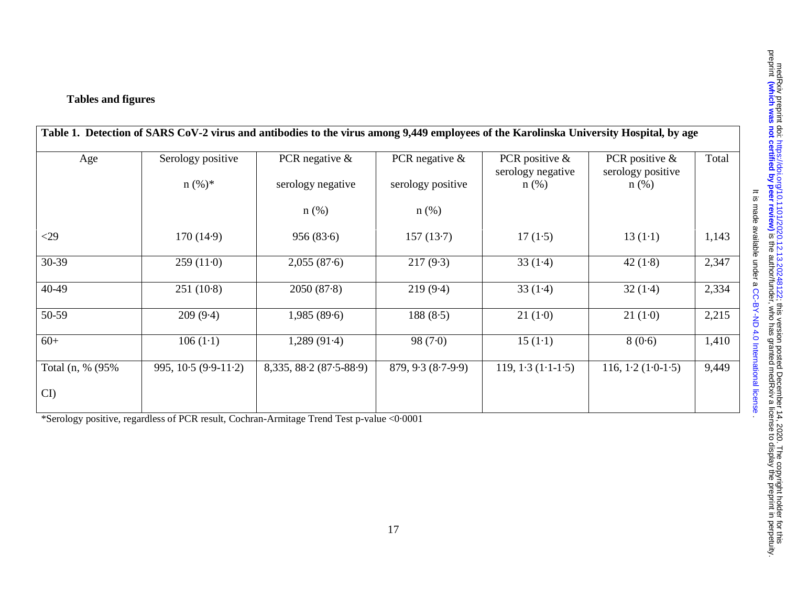| Age               | Serology positive<br>$n (%)^*$ | PCR negative $\&$<br>serology negative | PCR negative $\&$<br>serology positive | PCR positive $\&$<br>serology negative<br>$n$ (%) | PCR positive $\&$<br>serology positive<br>$n$ (%) | Total |
|-------------------|--------------------------------|----------------------------------------|----------------------------------------|---------------------------------------------------|---------------------------------------------------|-------|
|                   |                                | $n$ (%)                                | $n$ (%)                                |                                                   |                                                   |       |
| $<$ 29            | 170(14.9)                      | 956(83.6)                              | 157(13.7)                              | 17(1.5)                                           | $13(1-1)$                                         | 1,143 |
| 30-39             | 259(110)                       | 2,055(87.6)                            | 217(9.3)                               | 33(1.4)                                           | 42 $(1.8)$                                        | 2,347 |
| 40-49             | 251(10.8)                      | 2050(87.8)                             | 219(9.4)                               | 33(1.4)                                           | 32(1.4)                                           | 2,334 |
| 50-59             | 209(9.4)                       | 1,985(89.6)                            | 188(8.5)                               | $21(1-0)$                                         | $21(1-0)$                                         | 2,215 |
| $60+$             | $106(1-1)$                     | 1,289(91.4)                            | 98(7.0)                                | $15(1-1)$                                         | 8(0.6)                                            | 1,410 |
| Total (n, % (95%) | 995, $10.5(9.9-11.2)$          | 8,335, 88.2 (87.5-88.9)                | 879, 9.3 (8.7-9.9)                     | $119, 1.3(1.1-1.5)$                               | 116, $1.2(1.0-1.5)$                               | 9,449 |
| CI                |                                |                                        |                                        |                                                   |                                                   |       |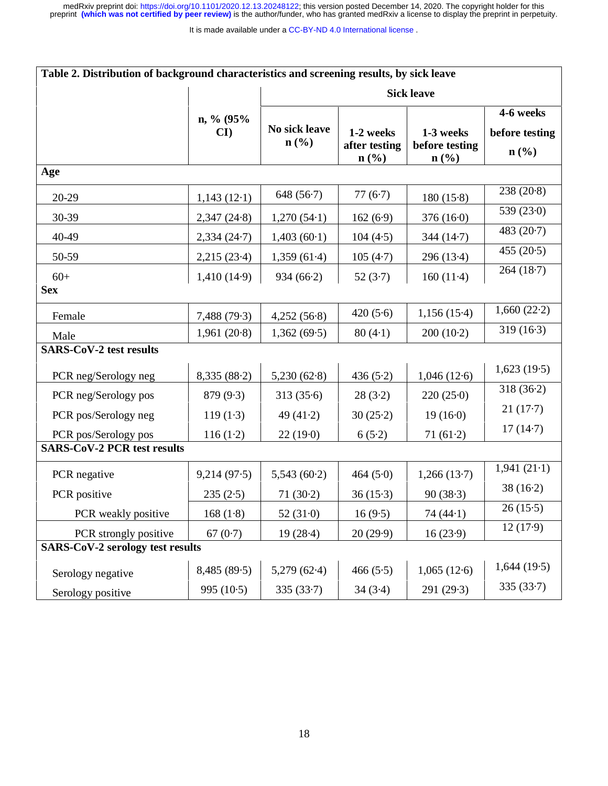It is made available under a [CC-BY-ND 4.0 International license](http://creativecommons.org/licenses/by-nd/4.0/) .

| Table 2. Distribution of background characteristics and screening results, by sick leave |                    |                                              |                                                           |                                        |                                                            |  |  |  |
|------------------------------------------------------------------------------------------|--------------------|----------------------------------------------|-----------------------------------------------------------|----------------------------------------|------------------------------------------------------------|--|--|--|
|                                                                                          |                    | <b>Sick leave</b>                            |                                                           |                                        |                                                            |  |  |  |
|                                                                                          | $n, \%$ (95%<br>CI | No sick leave<br>$n\left(\frac{0}{0}\right)$ | 1-2 weeks<br>after testing<br>$n\left(\frac{0}{0}\right)$ | 1-3 weeks<br>before testing<br>$n$ (%) | 4-6 weeks<br>before testing<br>$n\left(\frac{0}{0}\right)$ |  |  |  |
| Age                                                                                      |                    |                                              |                                                           |                                        |                                                            |  |  |  |
| 20-29                                                                                    | $1,143(12-1)$      | 648 (56.7)                                   | 77(6.7)                                                   | 180(15.8)                              | 238(20.8)                                                  |  |  |  |
| 30-39                                                                                    | 2,347(24.8)        | $1,270(54-1)$                                | 162(6.9)                                                  | 376 (16.0)                             | 539 (23.0)                                                 |  |  |  |
| 40-49                                                                                    | 2,334(24.7)        | 1,403(60.1)                                  | 104(4.5)                                                  | 344 $(14.7)$                           | 483 (20.7)                                                 |  |  |  |
| 50-59                                                                                    | 2,215 (23.4)       | 1,359(61.4)                                  | 105(4.7)                                                  | 296 (13.4)                             | 455 $(20.5)$                                               |  |  |  |
| $60+$                                                                                    | 1,410 (14.9)       | 934 (66.2)                                   | 52 $(3.7)$                                                | $160(11-4)$                            | 264(18.7)                                                  |  |  |  |
| <b>Sex</b>                                                                               |                    |                                              |                                                           |                                        |                                                            |  |  |  |
| Female                                                                                   | 7,488 (79.3)       | 4,252(56.8)                                  | 420 $(5.6)$                                               | 1,156(15.4)                            | 1,660(22.2)                                                |  |  |  |
| Male<br><b>SARS-CoV-2 test results</b>                                                   | 1,961(20.8)        | 1,362(69.5)                                  | 80(4.1)                                                   | $200(10-2)$                            | $319(16-3)$                                                |  |  |  |
| PCR neg/Serology neg                                                                     | 8,335 (88.2)       | 5,230(62.8)                                  | 436 $(5.2)$                                               | 1,046(12.6)                            | 1,623(19.5)                                                |  |  |  |
| PCR neg/Serology pos                                                                     | 879 (9.3)          | 313(35.6)                                    | 28(3.2)                                                   | 220(25.0)                              | 318 (36.2)                                                 |  |  |  |
| PCR pos/Serology neg                                                                     | 119(1.3)           | 49 $(41.2)$                                  | 30(25.2)                                                  | 19(16·0)                               | $21(17-7)$                                                 |  |  |  |
| PCR pos/Serology pos                                                                     | 116(1.2)           | 22(19.0)                                     | 6(5.2)                                                    | 71(61.2)                               | $17(14-7)$                                                 |  |  |  |
| <b>SARS-CoV-2 PCR test results</b>                                                       |                    |                                              |                                                           |                                        |                                                            |  |  |  |
| PCR negative                                                                             | 9,214(97.5)        | 5,543(60.2)                                  | 464 $(5.0)$                                               | 1,266(13.7)                            | $1,941(21-1)$                                              |  |  |  |
| PCR positive                                                                             | 235(2.5)           | 71(30.2)                                     | 36(15.3)                                                  | 90(38.3)                               | 38(16.2)                                                   |  |  |  |
| PCR weakly positive                                                                      | 168(1.8)           | 52 $(31.0)$                                  | 16(9.5)                                                   | 74(44.1)                               | 26(15.5)                                                   |  |  |  |
| PCR strongly positive                                                                    | 67 $(0.7)$         | 19(28.4)                                     | 20 (29.9)                                                 | 16(23.9)                               | 12(17.9)                                                   |  |  |  |
| <b>SARS-CoV-2 serology test results</b>                                                  |                    |                                              |                                                           |                                        |                                                            |  |  |  |
| Serology negative                                                                        | 8,485 (89.5)       | 5,279 (62.4)                                 | 466 $(5.5)$                                               | 1,065(12.6)                            | 1,644 (19.5)                                               |  |  |  |
| Serology positive                                                                        | 995 $(10.5)$       | 335(33.7)                                    | 34(3.4)                                                   | 291 (29.3)                             | 335(33.7)                                                  |  |  |  |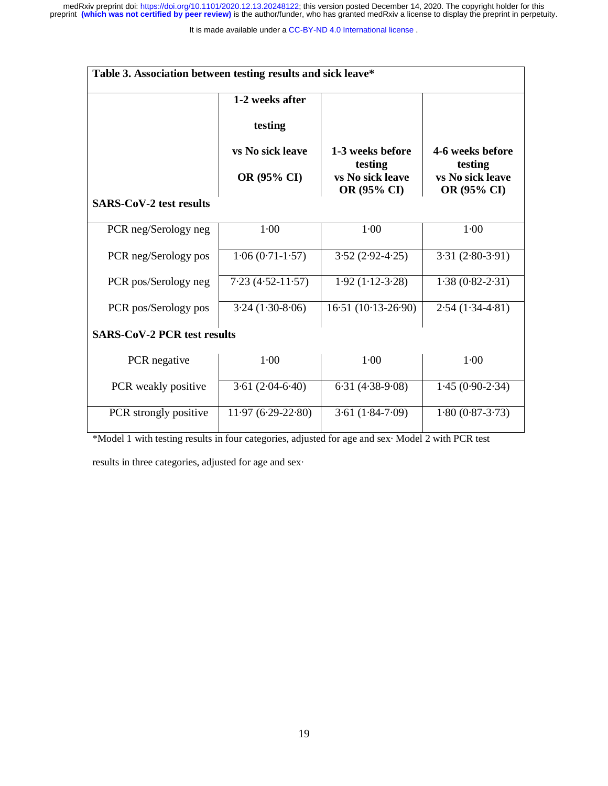It is made available under a [CC-BY-ND 4.0 International license](http://creativecommons.org/licenses/by-nd/4.0/) .

| Table 3. Association between testing results and sick leave* |                                        |                                                                       |                                                                |  |  |  |  |  |  |
|--------------------------------------------------------------|----------------------------------------|-----------------------------------------------------------------------|----------------------------------------------------------------|--|--|--|--|--|--|
|                                                              | 1-2 weeks after<br>testing             |                                                                       | 4-6 weeks before<br>testing<br>vs No sick leave<br>OR (95% CI) |  |  |  |  |  |  |
|                                                              | <b>vs</b> No sick leave<br>OR (95% CI) | 1-3 weeks before<br>testing<br>vs No sick leave<br><b>OR</b> (95% CI) |                                                                |  |  |  |  |  |  |
| <b>SARS-CoV-2 test results</b>                               |                                        |                                                                       |                                                                |  |  |  |  |  |  |
| PCR neg/Serology neg                                         | $1-00$                                 | $1 - 00$                                                              | $1-00$                                                         |  |  |  |  |  |  |
| PCR neg/Serology pos                                         | $1.06(0.71-1.57)$                      | $3.52(2.92 - 4.25)$                                                   | $3.31(2.80-3.91)$                                              |  |  |  |  |  |  |
| PCR pos/Serology neg                                         | $7.23(4.52 - 11.57)$                   | $1.92(1.12-3.28)$                                                     | $1.38(0.82 - 2.31)$                                            |  |  |  |  |  |  |
| PCR pos/Serology pos                                         | $3.24(1.30-8.06)$                      | 16.51 (10.13-26.90)                                                   | $2.54(1.34-4.81)$                                              |  |  |  |  |  |  |
| <b>SARS-CoV-2 PCR test results</b>                           |                                        |                                                                       |                                                                |  |  |  |  |  |  |
| PCR negative                                                 | $1 - 00$                               | 1.00                                                                  | $1 - 00$                                                       |  |  |  |  |  |  |
| PCR weakly positive                                          | $3.61(2.04-6.40)$                      | $6.31(4.38-9.08)$                                                     | $1.45(0.90-2.34)$                                              |  |  |  |  |  |  |
| PCR strongly positive                                        | $11.97(6.29-22.80)$                    | $3.61(1.84-7.09)$                                                     | $1.80(0.87-3.73)$                                              |  |  |  |  |  |  |

\*Model 1 with testing results in four categories, adjusted for age and sex· Model 2 with PCR test results in three categories, adjusted for age and sex·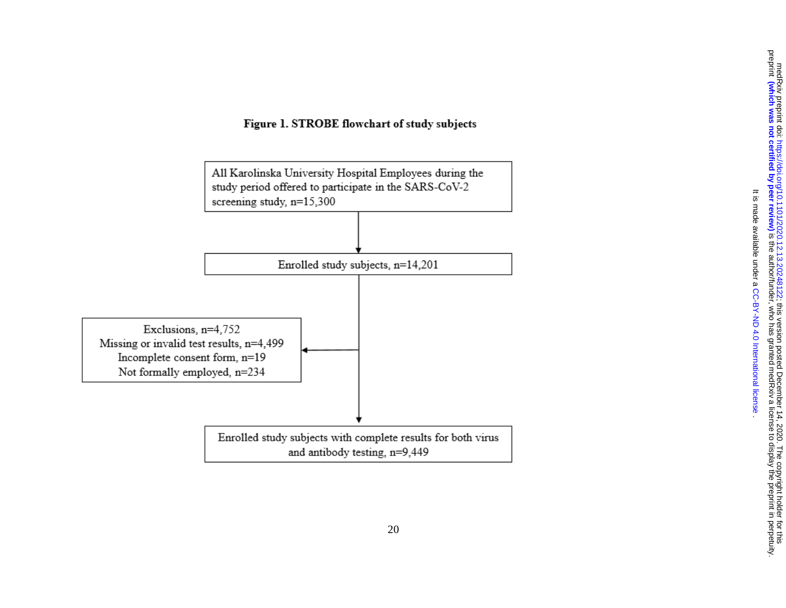

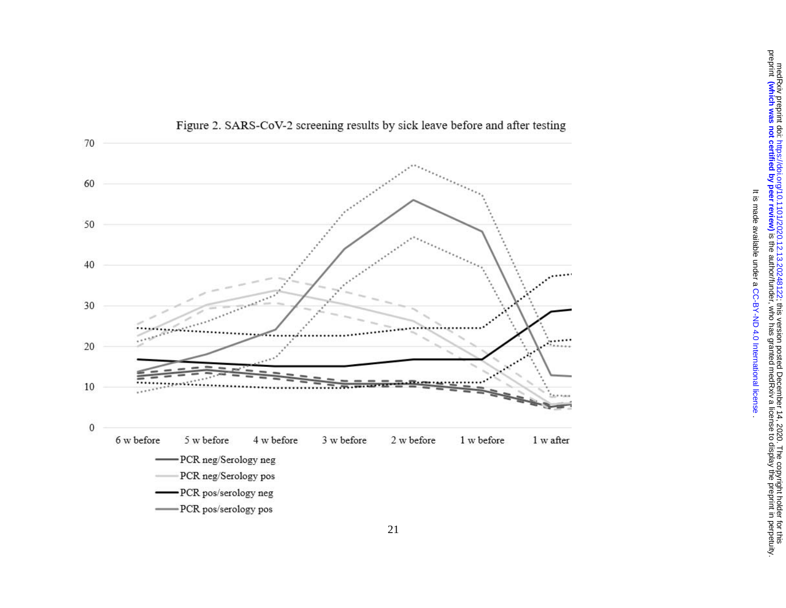



. [CC-BY-ND 4.0 International license](http://creativecommons.org/licenses/by-nd/4.0/) It is made available under a